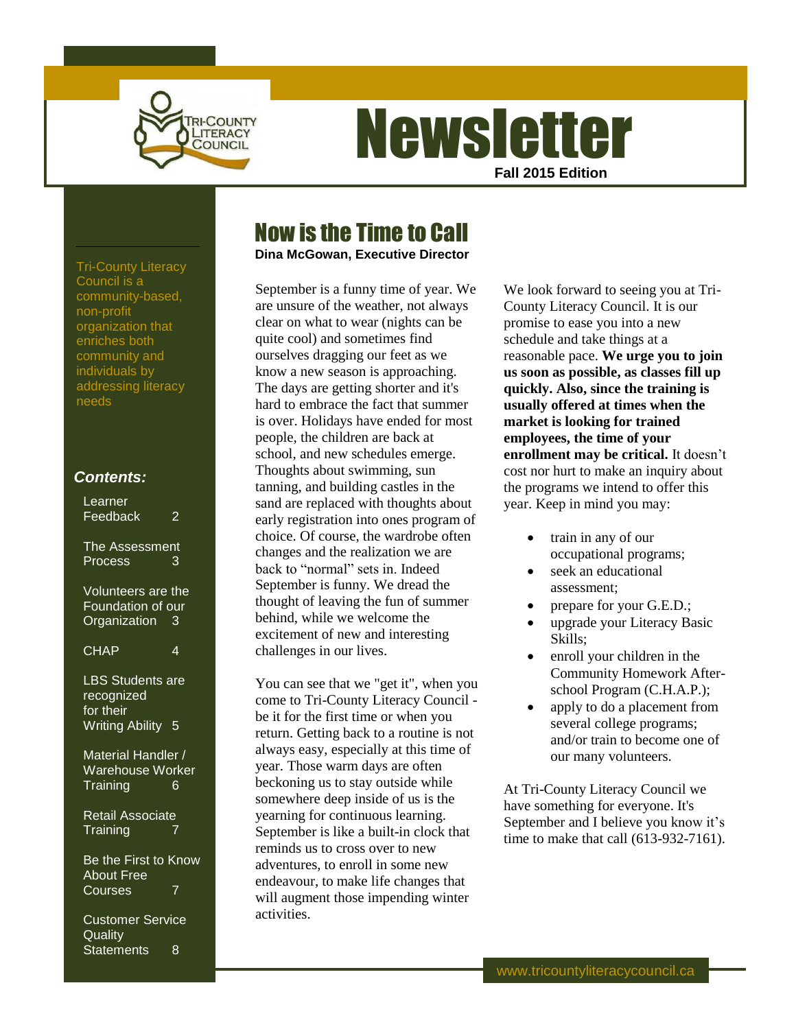

# **Newsletter Fall 2015 Edition**

### Now is the Time to Call

**Dina McGowan, Executive Director**

September is a funny time of year. We are unsure of the weather, not always clear on what to wear (nights can be quite cool) and sometimes find ourselves dragging our feet as we know a new season is approaching. The days are getting shorter and it's hard to embrace the fact that summer is over. Holidays have ended for most people, the children are back at school, and new schedules emerge. Thoughts about swimming, sun tanning, and building castles in the sand are replaced with thoughts about early registration into ones program of choice. Of course, the wardrobe often changes and the realization we are back to "normal" sets in. Indeed September is funny. We dread the thought of leaving the fun of summer behind, while we welcome the excitement of new and interesting challenges in our lives.

You can see that we "get it", when you come to Tri-County Literacy Council be it for the first time or when you return. Getting back to a routine is not always easy, especially at this time of year. Those warm days are often beckoning us to stay outside while somewhere deep inside of us is the yearning for continuous learning. September is like a built-in clock that reminds us to cross over to new adventures, to enroll in some new endeavour, to make life changes that will augment those impending winter activities.

We look forward to seeing you at Tri-County Literacy Council. It is our promise to ease you into a new schedule and take things at a reasonable pace. **We urge you to join us soon as possible, as classes fill up quickly. Also, since the training is usually offered at times when the market is looking for trained employees, the time of your enrollment may be critical.** It doesn't cost nor hurt to make an inquiry about the programs we intend to offer this year. Keep in mind you may:

- train in any of our occupational programs;
- seek an educational assessment;
- prepare for your G.E.D.;
- upgrade your Literacy Basic Skills;
- enroll your children in the Community Homework Afterschool Program (C.H.A.P.);
- apply to do a placement from several college programs; and/or train to become one of our many volunteers.

At Tri-County Literacy Council we have something for everyone. It's September and I believe you know it's time to make that call (613-932-7161).

Tri-County Literacy Council is a community-based, non-profit organization that enriches both community and individuals by addressing literacy needs

### *Contents:*

| Learner<br>Feedback<br>2                                                       |
|--------------------------------------------------------------------------------|
| The Assessment<br><b>Process</b><br>3                                          |
| Volunteers are the<br>Foundation of our<br>Organization<br>$\overline{3}$      |
| <b>CHAP</b><br>4                                                               |
| <b>LBS</b> Students are<br>recognized<br>for their<br><b>Writing Ability 5</b> |
| Material Handler /<br>Warehouse Worker<br><b>Training</b><br>6                 |
| <b>Retail Associate</b><br>Training                                            |
| Be the First to Know<br><b>About Free</b><br>Courses                           |
| <b>Customer Service</b><br>Quality<br><b>Statements</b><br>8                   |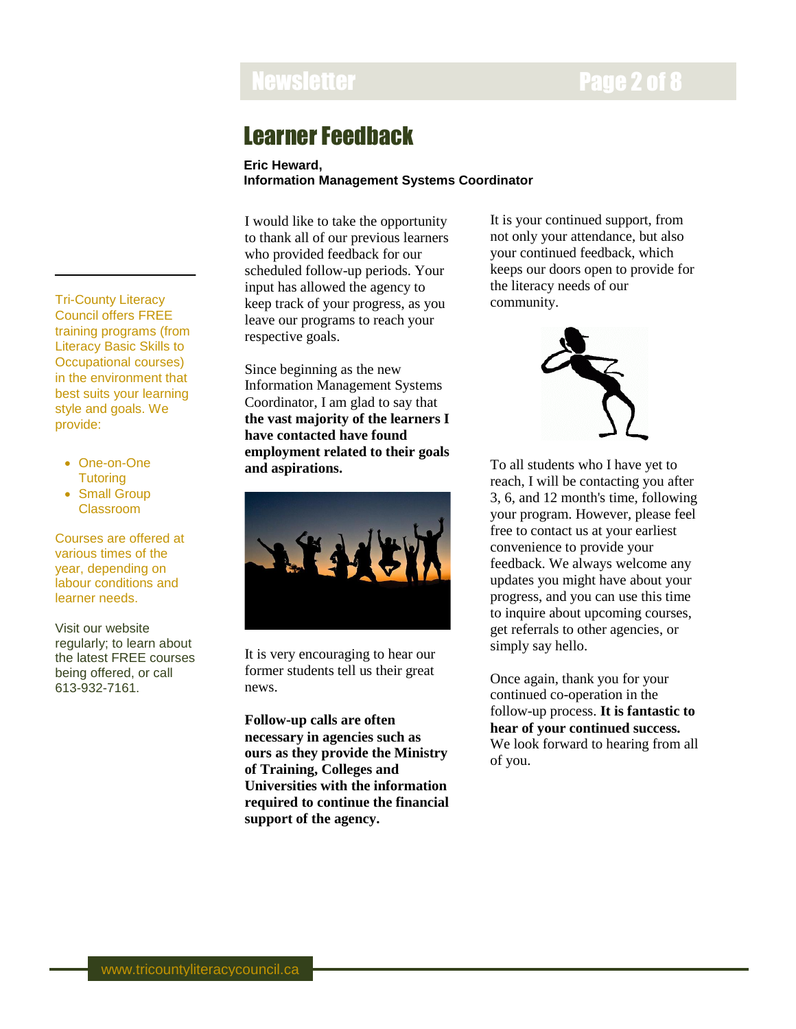## Newsletter **Newsletter Access 2 of 8**

### Learner Feedback

#### **Eric Heward, Information Management Systems Coordinator**

I would like to take the opportunity to thank all of our previous learners who provided feedback for our scheduled follow-up periods. Your input has allowed the agency to keep track of your progress, as you leave our programs to reach your respective goals.

Since beginning as the new Information Management Systems Coordinator, I am glad to say that **the vast majority of the learners I have contacted have found employment related to their goals and aspirations.**



It is very encouraging to hear our former students tell us their great news.

**Follow-up calls are often necessary in agencies such as ours as they provide the Ministry of Training, Colleges and Universities with the information required to continue the financial support of the agency.**

It is your continued support, from not only your attendance, but also your continued feedback, which keeps our doors open to provide for the literacy needs of our community.



To all students who I have yet to reach, I will be contacting you after 3, 6, and 12 month's time, following your program. However, please feel free to contact us at your earliest convenience to provide your feedback. We always welcome any updates you might have about your progress, and you can use this time to inquire about upcoming courses, get referrals to other agencies, or simply say hello.

Once again, thank you for your continued co-operation in the follow-up process. **It is fantastic to hear of your continued success.** We look forward to hearing from all of you.

Tri-County Literacy Council offers FREE training programs (from Literacy Basic Skills to Occupational courses) in the environment that best suits your learning style and goals. We provide:

- One-on-One **Tutoring**
- Small Group Classroom

Courses are offered at various times of the year, depending on labour conditions and learner needs.

Visit our website regularly; to learn about the latest FREE courses being offered, or call 613-932-7161.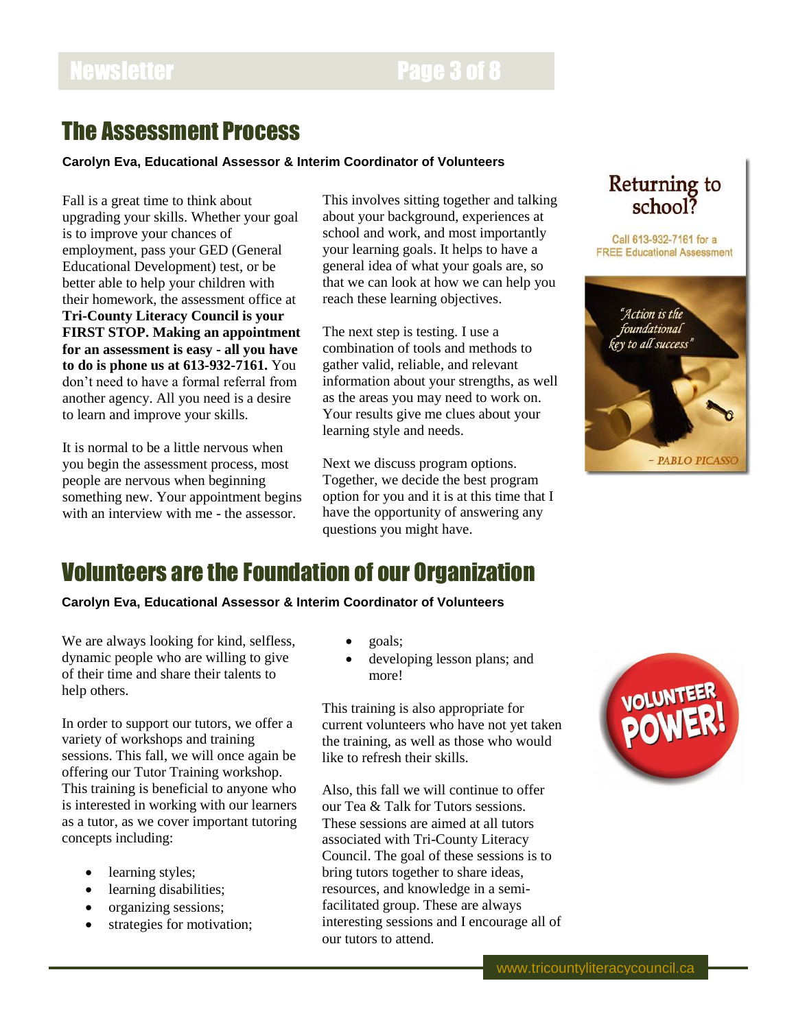### Newsletter **Page 3 of 8**

### The Assessment Process

**Carolyn Eva, Educational Assessor & Interim Coordinator of Volunteers**

Fall is a great time to think about upgrading your skills. Whether your goal is to improve your chances of employment, pass your GED (General Educational Development) test, or be better able to help your children with their homework, the assessment office at **Tri-County Literacy Council is your FIRST STOP. Making an appointment for an assessment is easy - all you have to do is phone us at 613-932-7161.** You don't need to have a formal referral from another agency. All you need is a desire to learn and improve your skills.

It is normal to be a little nervous when you begin the assessment process, most people are nervous when beginning something new. Your appointment begins with an interview with me - the assessor.

This involves sitting together and talking about your background, experiences at school and work, and most importantly your learning goals. It helps to have a general idea of what your goals are, so that we can look at how we can help you reach these learning objectives.

The next step is testing. I use a combination of tools and methods to gather valid, reliable, and relevant information about your strengths, as well as the areas you may need to work on. Your results give me clues about your learning style and needs.

Next we discuss program options. Together, we decide the best program option for you and it is at this time that I have the opportunity of answering any questions you might have.



Call 613-932-7161 for a **FREE Educational Assessment** 



## Volunteers are the Foundation of our Organization

**Carolyn Eva, Educational Assessor & Interim Coordinator of Volunteers**

We are always looking for kind, selfless, dynamic people who are willing to give of their time and share their talents to help others.

In order to support our tutors, we offer a variety of workshops and training sessions. This fall, we will once again be offering our Tutor Training workshop. This training is beneficial to anyone who is interested in working with our learners as a tutor, as we cover important tutoring concepts including:

- learning styles;
- learning disabilities;
- organizing sessions;
- strategies for motivation;
- goals;
- developing lesson plans; and more!

This training is also appropriate for current volunteers who have not yet taken the training, as well as those who would like to refresh their skills.

Also, this fall we will continue to offer our Tea & Talk for Tutors sessions. These sessions are aimed at all tutors associated with Tri-County Literacy Council. The goal of these sessions is to bring tutors together to share ideas, resources, and knowledge in a semifacilitated group. These are always interesting sessions and I encourage all of our tutors to attend.

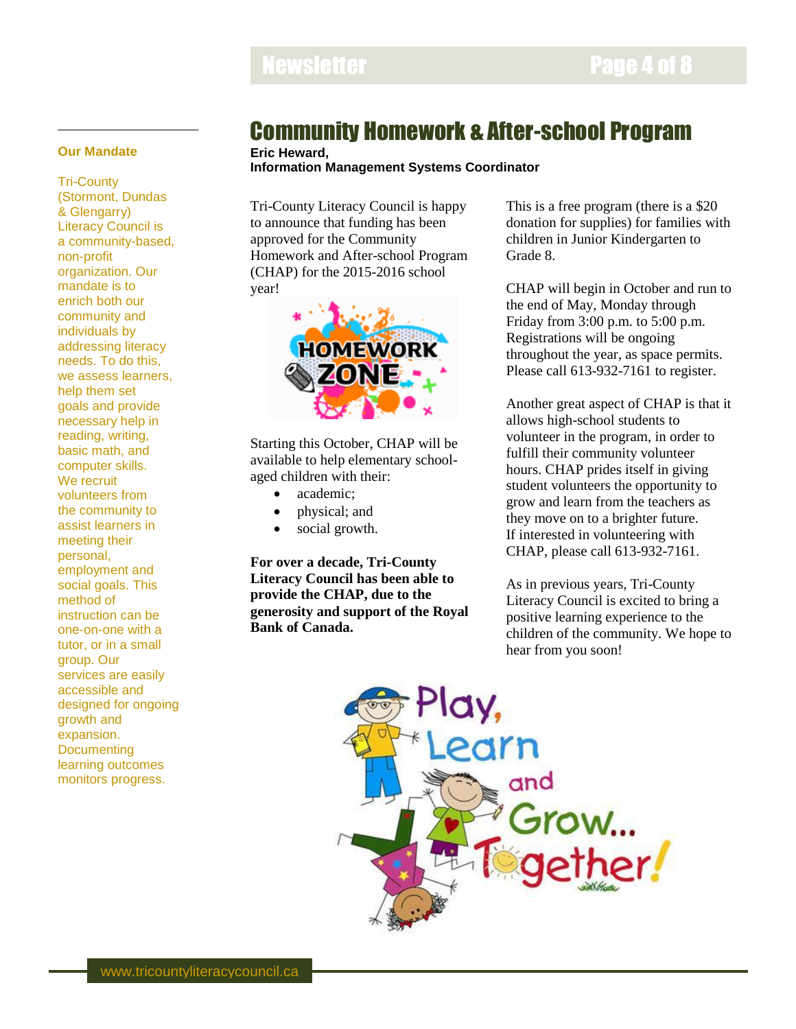#### **Our Mandate**

Tri-County (Stormont, Dundas & Glengarry) Literacy Council is a community-based, non-profit organization. Our mandate is to enrich both our community and individuals by addressing literacy needs. To do this, we assess learners, help them set goals and provide necessary help in reading, writing, basic math, and computer skills. We recruit volunteers from the community to assist learners in meeting their personal, employment and social goals. This method of instruction can be one-on-one with a tutor, or in a small group. Our services are easily accessible and designed for ongoing growth and expansion. **Documenting** learning outcomes monitors progress.

### Community Homework & After-school Program

**Eric Heward,**

**Information Management Systems Coordinator**

Tri-County Literacy Council is happy to announce that funding has been approved for the Community Homework and After-school Program (CHAP) for the 2015-2016 school year!



Starting this October, CHAP will be available to help elementary schoolaged children with their:

- academic;
- physical; and
- social growth.

**For over a decade, Tri-County Literacy Council has been able to provide the CHAP, due to the generosity and support of the Royal Bank of Canada.**

This is a free program (there is a \$20 donation for supplies) for families with children in Junior Kindergarten to Grade 8.

CHAP will begin in October and run to the end of May, Monday through Friday from 3:00 p.m. to 5:00 p.m. Registrations will be ongoing throughout the year, as space permits. Please call 613-932-7161 to register.

Another great aspect of CHAP is that it allows high-school students to volunteer in the program, in order to fulfill their community volunteer hours. CHAP prides itself in giving student volunteers the opportunity to grow and learn from the teachers as they move on to a brighter future. If interested in volunteering with CHAP, please call 613-932-7161.

As in previous years, Tri-County Literacy Council is excited to bring a positive learning experience to the children of the community. We hope to hear from you soon!

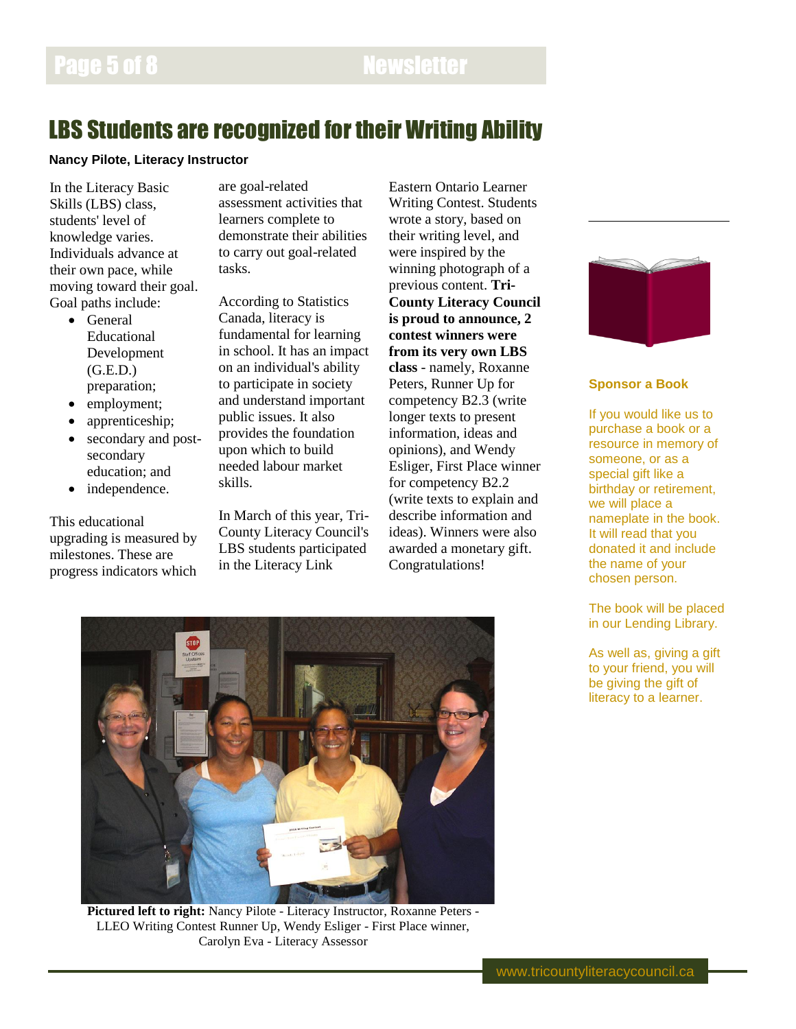### LBS Students are recognized for their Writing Ability

#### **Nancy Pilote, Literacy Instructor**

In the Literacy Basic Skills (LBS) class, students' level of knowledge varies. Individuals advance at their own pace, while moving toward their goal. Goal paths include:

- General Educational Development (G.E.D.) preparation;
- employment;
- apprenticeship;
- secondary and postsecondary education; and
- independence.

This educational upgrading is measured by milestones. These are progress indicators which

are goal-related assessment activities that learners complete to demonstrate their abilities to carry out goal-related tasks.

According to Statistics Canada, literacy is fundamental for learning in school. It has an impact on an individual's ability to participate in society and understand important public issues. It also provides the foundation upon which to build needed labour market skills.

In March of this year, Tri-County Literacy Council's LBS students participated in the Literacy Link

Eastern Ontario Learner Writing Contest. Students wrote a story, based on their writing level, and were inspired by the winning photograph of a previous content. **Tri-County Literacy Council is proud to announce, 2 contest winners were from its very own LBS class** - namely, Roxanne Peters, Runner Up for competency B2.3 (write longer texts to present information, ideas and opinions), and Wendy Esliger, First Place winner for competency B2.2 (write texts to explain and describe information and ideas). Winners were also awarded a monetary gift. Congratulations!



#### **Sponsor a Book**

If you would like us to purchase a book or a resource in memory of someone, or as a special gift like a birthday or retirement, we will place a nameplate in the book. It will read that you donated it and include the name of your chosen person.

The book will be placed in our Lending Library.

As well as, giving a gift to your friend, you will be giving the gift of literacy to a learner.



**Pictured left to right:** Nancy Pilote - Literacy Instructor, Roxanne Peters - LLEO Writing Contest Runner Up, Wendy Esliger - First Place winner, Carolyn Eva - Literacy Assessor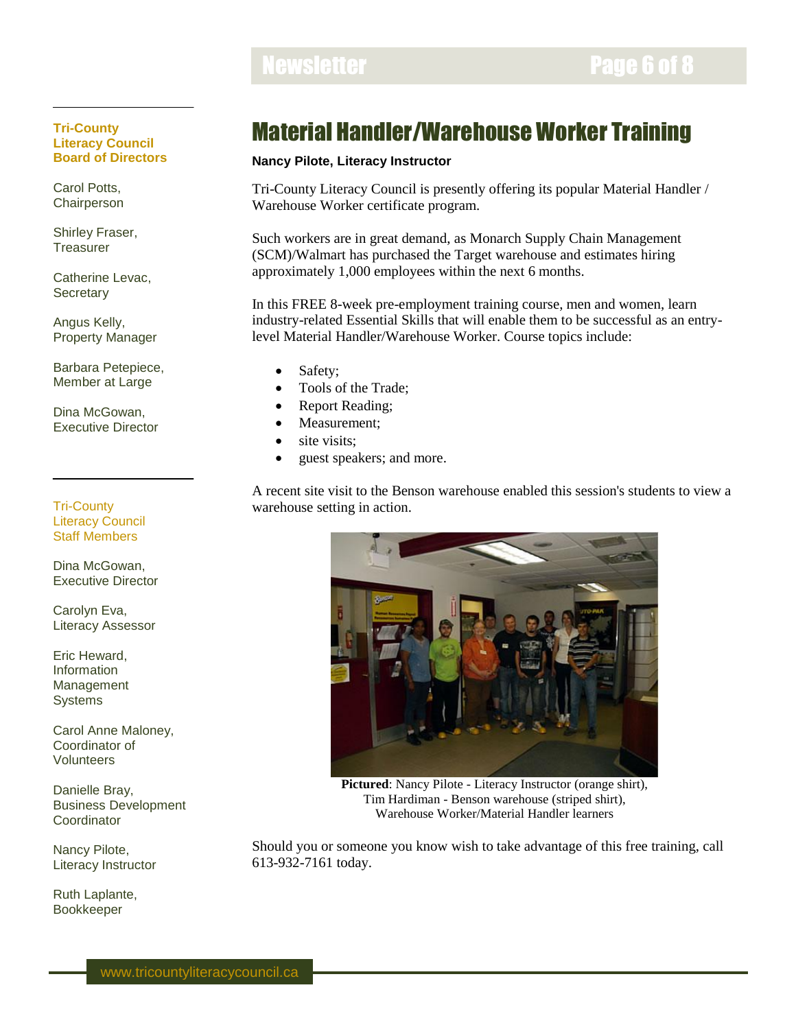### Newsletter **Newsletter Page 6 of 8**

#### **Tri-County Literacy Council Board of Directors**

Carol Potts, **Chairperson** 

Shirley Fraser, **Treasurer** 

Catherine Levac, **Secretary** 

Angus Kelly, Property Manager

Barbara Petepiece, Member at Large

Dina McGowan, Executive Director

Tri-County Literacy Council Staff Members

Dina McGowan, Executive Director

Carolyn Eva, Literacy Assessor

Eric Heward, Information Management **Systems** 

Carol Anne Maloney, Coordinator of Volunteers

Danielle Bray, Business Development **Coordinator** 

Nancy Pilote, Literacy Instructor

Ruth Laplante, Bookkeeper

## Material Handler/Warehouse Worker Training

### **Nancy Pilote, Literacy Instructor**

Tri-County Literacy Council is presently offering its popular Material Handler / Warehouse Worker certificate program.

Such workers are in great demand, as Monarch Supply Chain Management (SCM)/Walmart has purchased the Target warehouse and estimates hiring approximately 1,000 employees within the next 6 months.

In this FREE 8-week pre-employment training course, men and women, learn industry-related Essential Skills that will enable them to be successful as an entrylevel Material Handler/Warehouse Worker. Course topics include:

- Safety;
- Tools of the Trade:
- Report Reading;
- Measurement;
- site visits:
- guest speakers; and more.

A recent site visit to the Benson warehouse enabled this session's students to view a warehouse setting in action.



**Pictured**: Nancy Pilote - Literacy Instructor (orange shirt), Tim Hardiman - Benson warehouse (striped shirt), Warehouse Worker/Material Handler learners

Should you or someone you know wish to take advantage of this free training, call 613-932-7161 today.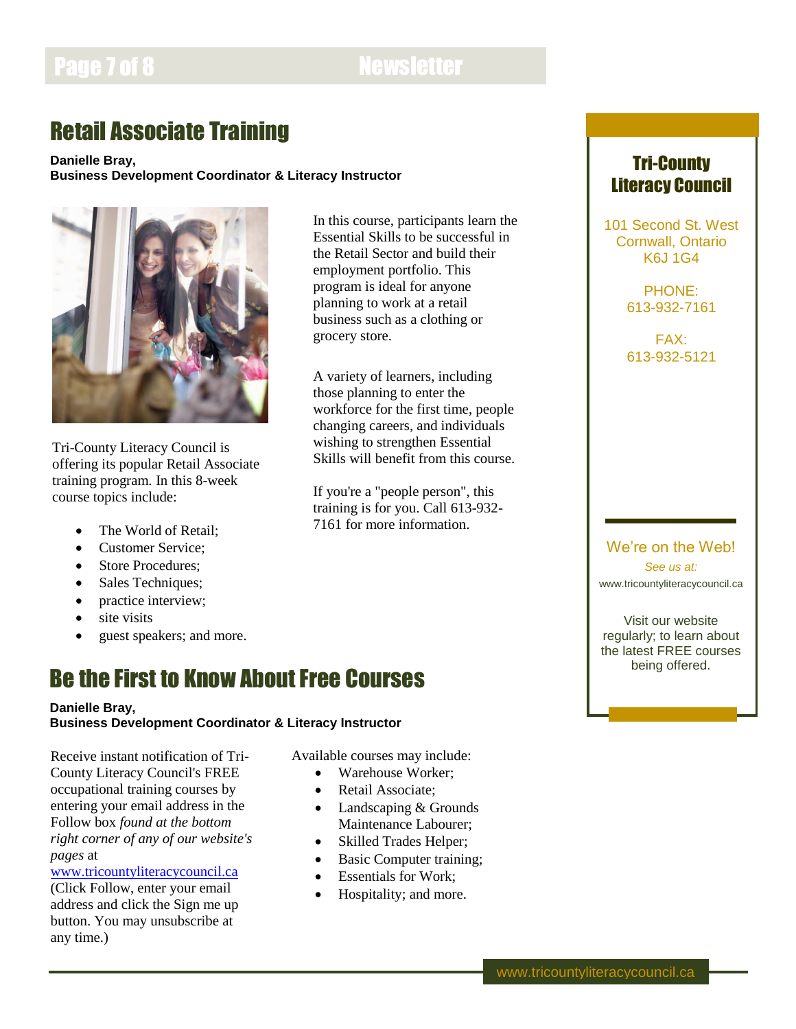### Page 7 of 8 Newsletter

## Retail Associate Training

#### **Danielle Bray, Business Development Coordinator & Literacy Instructor**



Tri-County Literacy Council is offering its popular Retail Associate training program. In this 8-week course topics include:

- The World of Retail;
- Customer Service:
- Store Procedures;
- Sales Techniques;
- practice interview;
- site visits
- guest speakers; and more.

### Be the First to Know About Free Courses

#### **Danielle Bray,**

### **Business Development Coordinator & Literacy Instructor**

Receive instant notification of Tri-County Literacy Council's FREE occupational training courses by entering your email address in the Follow box *found at the bottom right corner of any of our website's pages* at

#### [www.tricountyliteracycouncil.ca](http://www.tricountyliteracycouncil.ca/)

(Click Follow, enter your email address and click the Sign me up button. You may unsubscribe at any time.)

In this course, participants learn the Essential Skills to be successful in the Retail Sector and build their employment portfolio. This program is ideal for anyone planning to work at a retail business such as a clothing or grocery store.

A variety of learners, including those planning to enter the workforce for the first time, people changing careers, and individuals wishing to strengthen Essential Skills will benefit from this course.

If you're a "people person", this training is for you. Call 613-932- 7161 for more information.

### Tri-County Literacy Council

101 Second St. West Cornwall, Ontario K6J 1G4

> PHONE: 613-932-7161

FAX: 613-932-5121

### We're on the Web! *See us at:* www.tricountyliteracycouncil.ca

Visit our website regularly; to learn about the latest FREE courses being offered.

Available courses may include:

- Warehouse Worker: • Retail Associate;
- Landscaping & Grounds Maintenance Labourer;
- Skilled Trades Helper;
- Basic Computer training;
- Essentials for Work;
- Hospitality; and more.